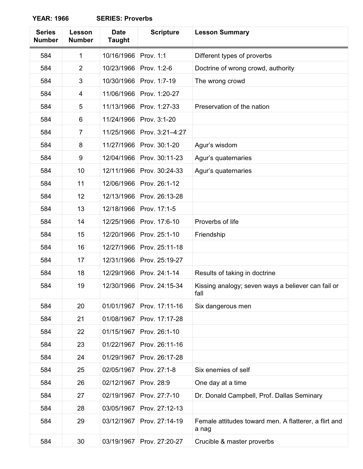**YEAR: 1966 SERIES: Proverbs**

| <b>Series</b><br><b>Number</b> | Lesson<br><b>Number</b> | <b>Date</b><br><b>Taught</b> | <b>Scripture</b> | <b>Lesson Summary</b>                                          |
|--------------------------------|-------------------------|------------------------------|------------------|----------------------------------------------------------------|
| 584                            | 1                       | 10/16/1966                   | Prov. 1:1        | Different types of proverbs                                    |
| 584                            | $\overline{2}$          | 10/23/1966                   | Prov. 1:2-6      | Doctrine of wrong crowd, authority                             |
| 584                            | 3                       | 10/30/1966                   | Prov. 1:7-19     | The wrong crowd                                                |
| 584                            | 4                       | 11/06/1966                   | Prov. 1:20-27    |                                                                |
| 584                            | 5                       | 11/13/1966                   | Prov. 1:27-33    | Preservation of the nation                                     |
| 584                            | 6                       | 11/24/1966                   | Prov. 3:1-20     |                                                                |
| 584                            | $\overline{7}$          | 11/25/1966                   | Prov. 3:21-4:27  |                                                                |
| 584                            | 8                       | 11/27/1966                   | Prov. 30:1-20    | Agur's wisdom                                                  |
| 584                            | 9                       | 12/04/1966                   | Prov. 30:11-23   | Agur's quaternaries                                            |
| 584                            | 10                      | 12/11/1966                   | Prov. 30:24-33   | Agur's quaternaries                                            |
| 584                            | 11                      | 12/06/1966                   | Prov. 26:1-12    |                                                                |
| 584                            | 12                      | 12/13/1966                   | Prov. 26:13-28   |                                                                |
| 584                            | 13                      | 12/18/1966                   | Prov. 17:1-5     |                                                                |
| 584                            | 14                      | 12/25/1966                   | Prov. 17:6-10    | Proverbs of life                                               |
| 584                            | 15                      | 12/20/1966                   | Prov. 25:1-10    | Friendship                                                     |
| 584                            | 16                      | 12/27/1966                   | Prov. 25:11-18   |                                                                |
| 584                            | 17                      | 12/31/1966                   | Prov. 25:19-27   |                                                                |
| 584                            | 18                      | 12/29/1966                   | Prov. 24:1-14    | Results of taking in doctrine                                  |
| 584                            | 19                      | 12/30/1966                   | Prov. 24:15-34   | Kissing analogy; seven ways a believer can fail or<br>fall     |
| 584                            | 20                      | 01/01/1967                   | Prov. 17:11-16   | Six dangerous men                                              |
| 584                            | 21                      | 01/08/1967                   | Prov. 17:17-28   |                                                                |
| 584                            | 22                      | 01/15/1967                   | Prov. 26:1-10    |                                                                |
| 584                            | 23                      | 01/22/1967                   | Prov. 26:11-16   |                                                                |
| 584                            | 24                      | 01/29/1967                   | Prov. 26:17-28   |                                                                |
| 584                            | 25                      | 02/05/1967                   | Prov. 27:1-8     | Six enemies of self                                            |
| 584                            | 26                      | 02/12/1967                   | Prov. 28:9       | One day at a time                                              |
| 584                            | 27                      | 02/19/1967                   | Prov. 27:7-10    | Dr. Donald Campbell, Prof. Dallas Seminary                     |
| 584                            | 28                      | 03/05/1967                   | Prov. 27:12-13   |                                                                |
| 584                            | 29                      | 03/12/1967                   | Prov. 27:14-19   | Female attitudes toward men. A flatterer, a flirt and<br>a nag |
| 584                            | 30                      | 03/19/1967                   | Prov. 27:20-27   | Crucible & master proverbs                                     |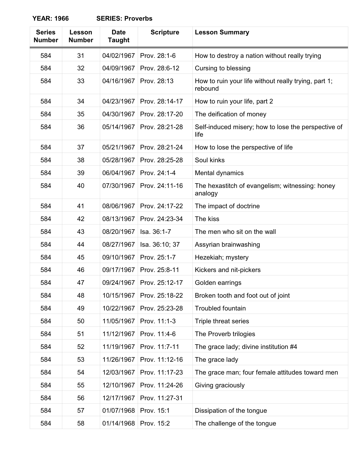**YEAR: 1966 SERIES: Proverbs**

| <b>Series</b><br><b>Number</b> | Lesson<br><b>Number</b> | <b>Date</b><br><b>Taught</b> | <b>Scripture</b> | <b>Lesson Summary</b>                                           |
|--------------------------------|-------------------------|------------------------------|------------------|-----------------------------------------------------------------|
| 584                            | 31                      | 04/02/1967                   | Prov. 28:1-6     | How to destroy a nation without really trying                   |
| 584                            | 32                      | 04/09/1967                   | Prov. 28:6-12    | Cursing to blessing                                             |
| 584                            | 33                      | 04/16/1967                   | Prov. 28:13      | How to ruin your life without really trying, part 1;<br>rebound |
| 584                            | 34                      | 04/23/1967                   | Prov. 28:14-17   | How to ruin your life, part 2                                   |
| 584                            | 35                      | 04/30/1967                   | Prov. 28:17-20   | The deification of money                                        |
| 584                            | 36                      | 05/14/1967                   | Prov. 28:21-28   | Self-induced misery; how to lose the perspective of<br>life     |
| 584                            | 37                      | 05/21/1967                   | Prov. 28:21-24   | How to lose the perspective of life                             |
| 584                            | 38                      | 05/28/1967                   | Prov. 28:25-28   | Soul kinks                                                      |
| 584                            | 39                      | 06/04/1967                   | Prov. 24:1-4     | Mental dynamics                                                 |
| 584                            | 40                      | 07/30/1967                   | Prov. 24:11-16   | The hexastitch of evangelism; witnessing: honey<br>analogy      |
| 584                            | 41                      | 08/06/1967                   | Prov. 24:17-22   | The impact of doctrine                                          |
| 584                            | 42                      | 08/13/1967                   | Prov. 24:23-34   | The kiss                                                        |
| 584                            | 43                      | 08/20/1967                   | Isa. 36:1-7      | The men who sit on the wall                                     |
| 584                            | 44                      | 08/27/1967                   | Isa. 36:10; 37   | Assyrian brainwashing                                           |
| 584                            | 45                      | 09/10/1967                   | Prov. 25:1-7     | Hezekiah; mystery                                               |
| 584                            | 46                      | 09/17/1967                   | Prov. 25:8-11    | Kickers and nit-pickers                                         |
| 584                            | 47                      | 09/24/1967                   | Prov. 25:12-17   | Golden earrings                                                 |
| 584                            | 48                      | 10/15/1967                   | Prov. 25:18-22   | Broken tooth and foot out of joint                              |
| 584                            | 49                      | 10/22/1967                   | Prov. 25:23-28   | <b>Troubled fountain</b>                                        |
| 584                            | 50                      | 11/05/1967                   | Prov. 11:1-3     | Triple threat series                                            |
| 584                            | 51                      | 11/12/1967                   | Prov. 11:4-6     | The Proverb trilogies                                           |
| 584                            | 52                      | 11/19/1967                   | Prov. 11:7-11    | The grace lady; divine institution #4                           |
| 584                            | 53                      | 11/26/1967                   | Prov. 11:12-16   | The grace lady                                                  |
| 584                            | 54                      | 12/03/1967                   | Prov. 11:17-23   | The grace man; four female attitudes toward men                 |
| 584                            | 55                      | 12/10/1967                   | Prov. 11:24-26   | Giving graciously                                               |
| 584                            | 56                      | 12/17/1967                   | Prov. 11:27-31   |                                                                 |
| 584                            | 57                      | 01/07/1968                   | Prov. 15:1       | Dissipation of the tongue                                       |
| 584                            | 58                      | 01/14/1968                   | Prov. 15:2       | The challenge of the tongue                                     |